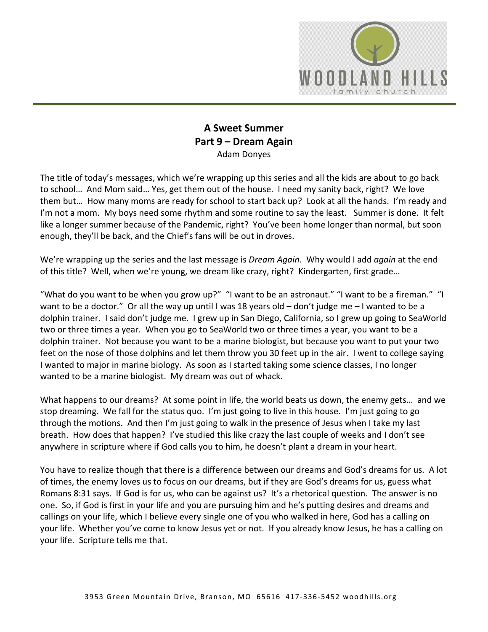

## **A Sweet Summer Part 9 – Dream Again** Adam Donyes

The title of today's messages, which we're wrapping up this series and all the kids are about to go back to school… And Mom said… Yes, get them out of the house. I need my sanity back, right? We love them but… How many moms are ready for school to start back up? Look at all the hands. I'm ready and I'm not a mom. My boys need some rhythm and some routine to say the least. Summer is done. It felt like a longer summer because of the Pandemic, right? You've been home longer than normal, but soon enough, they'll be back, and the Chief's fans will be out in droves.

We're wrapping up the series and the last message is *Dream Again*. Why would I add *again* at the end of this title? Well, when we're young, we dream like crazy, right? Kindergarten, first grade…

"What do you want to be when you grow up?" "I want to be an astronaut." "I want to be a fireman." "I want to be a doctor." Or all the way up until I was 18 years old – don't judge me – I wanted to be a dolphin trainer. I said don't judge me. I grew up in San Diego, California, so I grew up going to SeaWorld two or three times a year. When you go to SeaWorld two or three times a year, you want to be a dolphin trainer. Not because you want to be a marine biologist, but because you want to put your two feet on the nose of those dolphins and let them throw you 30 feet up in the air. I went to college saying I wanted to major in marine biology. As soon as I started taking some science classes, I no longer wanted to be a marine biologist. My dream was out of whack.

What happens to our dreams? At some point in life, the world beats us down, the enemy gets… and we stop dreaming. We fall for the status quo. I'm just going to live in this house. I'm just going to go through the motions. And then I'm just going to walk in the presence of Jesus when I take my last breath. How does that happen? I've studied this like crazy the last couple of weeks and I don't see anywhere in scripture where if God calls you to him, he doesn't plant a dream in your heart.

You have to realize though that there is a difference between our dreams and God's dreams for us. A lot of times, the enemy loves us to focus on our dreams, but if they are God's dreams for us, guess what Romans 8:31 says. If God is for us, who can be against us? It's a rhetorical question. The answer is no one. So, if God is first in your life and you are pursuing him and he's putting desires and dreams and callings on your life, which I believe every single one of you who walked in here, God has a calling on your life. Whether you've come to know Jesus yet or not. If you already know Jesus, he has a calling on your life. Scripture tells me that.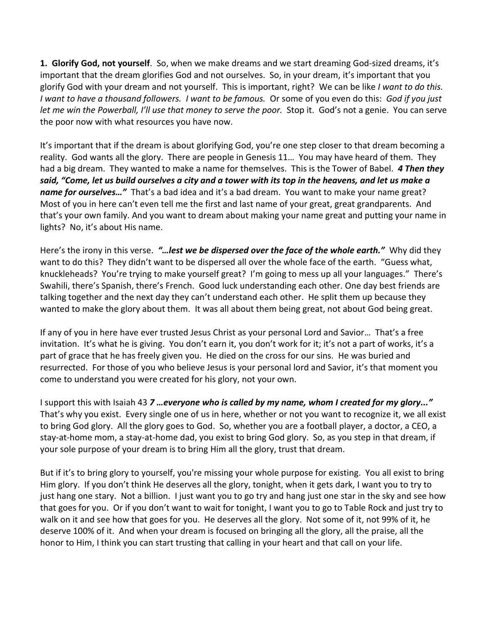**1. Glorify God, not yourself**. So, when we make dreams and we start dreaming God-sized dreams, it's important that the dream glorifies God and not ourselves. So, in your dream, it's important that you glorify God with your dream and not yourself. This is important, right? We can be like *I want to do this. I want to have a thousand followers. I want to be famous.* Or some of you even do this: *God if you just let me win the Powerball, I'll use that money to serve the poor.* Stop it. God's not a genie. You can serve the poor now with what resources you have now.

It's important that if the dream is about glorifying God, you're one step closer to that dream becoming a reality. God wants all the glory. There are people in Genesis 11… You may have heard of them. They had a big dream. They wanted to make a name for themselves. This is the Tower of Babel. *4 Then they said, "Come, let us build ourselves a city and a tower with its top in the heavens, and let us make a name for ourselves…"* That's a bad idea and it's a bad dream. You want to make your name great? Most of you in here can't even tell me the first and last name of your great, great grandparents. And that's your own family. And you want to dream about making your name great and putting your name in lights? No, it's about His name.

Here's the irony in this verse. *"…lest we be dispersed over the face of the whole earth."* Why did they want to do this? They didn't want to be dispersed all over the whole face of the earth. "Guess what, knuckleheads? You're trying to make yourself great? I'm going to mess up all your languages." There's Swahili, there's Spanish, there's French. Good luck understanding each other. One day best friends are talking together and the next day they can't understand each other. He split them up because they wanted to make the glory about them. It was all about them being great, not about God being great.

If any of you in here have ever trusted Jesus Christ as your personal Lord and Savior… That's a free invitation. It's what he is giving. You don't earn it, you don't work for it; it's not a part of works, it's a part of grace that he has freely given you. He died on the cross for our sins. He was buried and resurrected. For those of you who believe Jesus is your personal lord and Savior, it's that moment you come to understand you were created for his glory, not your own.

I support this with Isaiah 43 *7 …everyone who is called by my name, whom I created for my glory..."* That's why you exist. Every single one of us in here, whether or not you want to recognize it, we all exist to bring God glory. All the glory goes to God. So, whether you are a football player, a doctor, a CEO, a stay-at-home mom, a stay-at-home dad, you exist to bring God glory. So, as you step in that dream, if your sole purpose of your dream is to bring Him all the glory, trust that dream.

But if it's to bring glory to yourself, you're missing your whole purpose for existing. You all exist to bring Him glory. If you don't think He deserves all the glory, tonight, when it gets dark, I want you to try to just hang one stary. Not a billion. I just want you to go try and hang just one star in the sky and see how that goes for you. Or if you don't want to wait for tonight, I want you to go to Table Rock and just try to walk on it and see how that goes for you. He deserves all the glory. Not some of it, not 99% of it, he deserve 100% of it. And when your dream is focused on bringing all the glory, all the praise, all the honor to Him, I think you can start trusting that calling in your heart and that call on your life.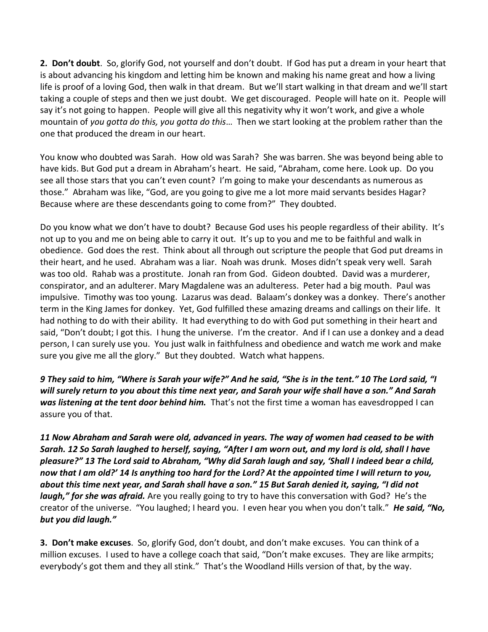**2. Don't doubt**. So, glorify God, not yourself and don't doubt. If God has put a dream in your heart that is about advancing his kingdom and letting him be known and making his name great and how a living life is proof of a loving God, then walk in that dream. But we'll start walking in that dream and we'll start taking a couple of steps and then we just doubt. We get discouraged. People will hate on it. People will say it's not going to happen. People will give all this negativity why it won't work, and give a whole mountain of *you gotta do this, you gotta do this*… Then we start looking at the problem rather than the one that produced the dream in our heart.

You know who doubted was Sarah. How old was Sarah? She was barren. She was beyond being able to have kids. But God put a dream in Abraham's heart. He said, "Abraham, come here. Look up. Do you see all those stars that you can't even count? I'm going to make your descendants as numerous as those." Abraham was like, "God, are you going to give me a lot more maid servants besides Hagar? Because where are these descendants going to come from?" They doubted.

Do you know what we don't have to doubt? Because God uses his people regardless of their ability. It's not up to you and me on being able to carry it out. It's up to you and me to be faithful and walk in obedience. God does the rest. Think about all through out scripture the people that God put dreams in their heart, and he used. Abraham was a liar. Noah was drunk. Moses didn't speak very well. Sarah was too old. Rahab was a prostitute. Jonah ran from God. Gideon doubted. David was a murderer, conspirator, and an adulterer. Mary Magdalene was an adulteress. Peter had a big mouth. Paul was impulsive. Timothy was too young. Lazarus was dead. Balaam's donkey was a donkey. There's another term in the King James for donkey. Yet, God fulfilled these amazing dreams and callings on their life. It had nothing to do with their ability. It had everything to do with God put something in their heart and said, "Don't doubt; I got this. I hung the universe. I'm the creator. And if I can use a donkey and a dead person, I can surely use you. You just walk in faithfulness and obedience and watch me work and make sure you give me all the glory." But they doubted. Watch what happens.

*9 They said to him, "Where is Sarah your wife?" And he said, "She is in the tent." 10 The Lord said, "I will surely return to you about this time next year, and Sarah your wife shall have a son." And Sarah was listening at the tent door behind him.* That's not the first time a woman has eavesdropped I can assure you of that.

*11 Now Abraham and Sarah were old, advanced in years. The way of women had ceased to be with Sarah. 12 So Sarah laughed to herself, saying, "After I am worn out, and my lord is old, shall I have pleasure?" 13 The Lord said to Abraham, "Why did Sarah laugh and say, 'Shall I indeed bear a child, now that I am old?' 14 Is anything too hard for the Lord? At the appointed time I will return to you, about this time next year, and Sarah shall have a son." 15 But Sarah denied it, saying, "I did not laugh," for she was afraid.* Are you really going to try to have this conversation with God? He's the creator of the universe. "You laughed; I heard you. I even hear you when you don't talk." *He said, "No, but you did laugh."*

**3. Don't make excuses**. So, glorify God, don't doubt, and don't make excuses. You can think of a million excuses. I used to have a college coach that said, "Don't make excuses. They are like armpits; everybody's got them and they all stink." That's the Woodland Hills version of that, by the way.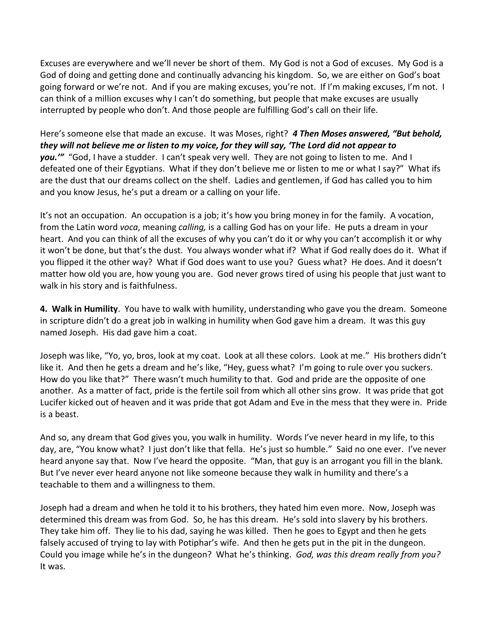Excuses are everywhere and we'll never be short of them. My God is not a God of excuses. My God is a God of doing and getting done and continually advancing his kingdom. So, we are either on God's boat going forward or we're not. And if you are making excuses, you're not. If I'm making excuses, I'm not. I can think of a million excuses why I can't do something, but people that make excuses are usually interrupted by people who don't. And those people are fulfilling God's call on their life.

Here's someone else that made an excuse. It was Moses, right? *4 Then Moses answered, "But behold, they will not believe me or listen to my voice, for they will say, 'The Lord did not appear to you.'"* "God, I have a studder. I can't speak very well. They are not going to listen to me. And I defeated one of their Egyptians. What if they don't believe me or listen to me or what I say?" What ifs are the dust that our dreams collect on the shelf. Ladies and gentlemen, if God has called you to him and you know Jesus, he's put a dream or a calling on your life.

It's not an occupation. An occupation is a job; it's how you bring money in for the family. A vocation, from the Latin word *voca*, meaning *calling,* is a calling God has on your life. He puts a dream in your heart. And you can think of all the excuses of why you can't do it or why you can't accomplish it or why it won't be done, but that's the dust. You always wonder what if? What if God really does do it. What if you flipped it the other way? What if God does want to use you? Guess what? He does. And it doesn't matter how old you are, how young you are. God never grows tired of using his people that just want to walk in his story and is faithfulness.

**4. Walk in Humility**. You have to walk with humility, understanding who gave you the dream. Someone in scripture didn't do a great job in walking in humility when God gave him a dream. It was this guy named Joseph. His dad gave him a coat.

Joseph was like, "Yo, yo, bros, look at my coat. Look at all these colors. Look at me." His brothers didn't like it. And then he gets a dream and he's like, "Hey, guess what? I'm going to rule over you suckers. How do you like that?" There wasn't much humility to that. God and pride are the opposite of one another. As a matter of fact, pride is the fertile soil from which all other sins grow. It was pride that got Lucifer kicked out of heaven and it was pride that got Adam and Eve in the mess that they were in. Pride is a beast.

And so, any dream that God gives you, you walk in humility. Words I've never heard in my life, to this day, are, "You know what? I just don't like that fella. He's just so humble." Said no one ever. I've never heard anyone say that. Now I've heard the opposite. "Man, that guy is an arrogant you fill in the blank. But I've never ever heard anyone not like someone because they walk in humility and there's a teachable to them and a willingness to them.

Joseph had a dream and when he told it to his brothers, they hated him even more. Now, Joseph was determined this dream was from God. So, he has this dream. He's sold into slavery by his brothers. They take him off. They lie to his dad, saying he was killed. Then he goes to Egypt and then he gets falsely accused of trying to lay with Potiphar's wife. And then he gets put in the pit in the dungeon. Could you image while he's in the dungeon? What he's thinking. *God, was this dream really from you?* It was.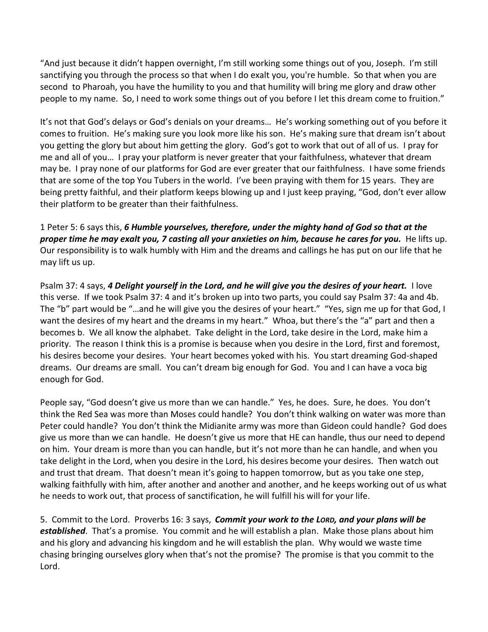"And just because it didn't happen overnight, I'm still working some things out of you, Joseph. I'm still sanctifying you through the process so that when I do exalt you, you're humble. So that when you are second to Pharoah, you have the humility to you and that humility will bring me glory and draw other people to my name. So, I need to work some things out of you before I let this dream come to fruition."

It's not that God's delays or God's denials on your dreams… He's working something out of you before it comes to fruition. He's making sure you look more like his son. He's making sure that dream isn't about you getting the glory but about him getting the glory. God's got to work that out of all of us. I pray for me and all of you… I pray your platform is never greater that your faithfulness, whatever that dream may be. I pray none of our platforms for God are ever greater that our faithfulness. I have some friends that are some of the top You Tubers in the world. I've been praying with them for 15 years. They are being pretty faithful, and their platform keeps blowing up and I just keep praying, "God, don't ever allow their platform to be greater than their faithfulness.

1 Peter 5: 6 says this, *6 Humble yourselves, therefore, under the mighty hand of God so that at the proper time he may exalt you, 7 casting all your anxieties on him, because he cares for you.* He lifts up. Our responsibility is to walk humbly with Him and the dreams and callings he has put on our life that he may lift us up.

Psalm 37: 4 says, *4 Delight yourself in the Lord, and he will give you the desires of your heart.* I love this verse. If we took Psalm 37: 4 and it's broken up into two parts, you could say Psalm 37: 4a and 4b. The "b" part would be "…and he will give you the desires of your heart." "Yes, sign me up for that God, I want the desires of my heart and the dreams in my heart." Whoa, but there's the "a" part and then a becomes b. We all know the alphabet. Take delight in the Lord, take desire in the Lord, make him a priority. The reason I think this is a promise is because when you desire in the Lord, first and foremost, his desires become your desires. Your heart becomes yoked with his. You start dreaming God-shaped dreams. Our dreams are small. You can't dream big enough for God. You and I can have a voca big enough for God.

People say, "God doesn't give us more than we can handle." Yes, he does. Sure, he does. You don't think the Red Sea was more than Moses could handle? You don't think walking on water was more than Peter could handle? You don't think the Midianite army was more than Gideon could handle? God does give us more than we can handle. He doesn't give us more that HE can handle, thus our need to depend on him. Your dream is more than you can handle, but it's not more than he can handle, and when you take delight in the Lord, when you desire in the Lord, his desires become your desires. Then watch out and trust that dream. That doesn't mean it's going to happen tomorrow, but as you take one step, walking faithfully with him, after another and another and another, and he keeps working out of us what he needs to work out, that process of sanctification, he will fulfill his will for your life.

5. Commit to the Lord. Proverbs 16: 3 says, *Commit your work to the LORD, and your plans will be established*.That's a promise. You commit and he will establish a plan. Make those plans about him and his glory and advancing his kingdom and he will establish the plan. Why would we waste time chasing bringing ourselves glory when that's not the promise? The promise is that you commit to the Lord.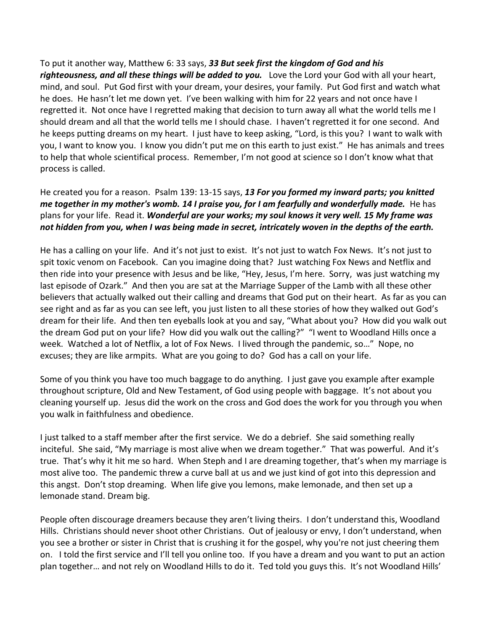To put it another way, Matthew 6: 33 says, *33 But seek first the kingdom of God and his righteousness, and all these things will be added to you.*Love the Lord your God with all your heart, mind, and soul. Put God first with your dream, your desires, your family. Put God first and watch what he does. He hasn't let me down yet. I've been walking with him for 22 years and not once have I regretted it. Not once have I regretted making that decision to turn away all what the world tells me I should dream and all that the world tells me I should chase. I haven't regretted it for one second. And he keeps putting dreams on my heart. I just have to keep asking, "Lord, is this you? I want to walk with you, I want to know you. I know you didn't put me on this earth to just exist." He has animals and trees to help that whole scientifical process. Remember, I'm not good at science so I don't know what that process is called.

He created you for a reason. Psalm 139: 13-15 says, *13 For you formed my inward parts; you knitted me together in my mother's womb. 14 I praise you, for I am fearfully and wonderfully made.* He has plans for your life. Read it. *Wonderful are your works; my soul knows it very well. 15 My frame was not hidden from you, when I was being made in secret, intricately woven in the depths of the earth.*

He has a calling on your life. And it's not just to exist. It's not just to watch Fox News. It's not just to spit toxic venom on Facebook. Can you imagine doing that? Just watching Fox News and Netflix and then ride into your presence with Jesus and be like, "Hey, Jesus, I'm here. Sorry, was just watching my last episode of Ozark." And then you are sat at the Marriage Supper of the Lamb with all these other believers that actually walked out their calling and dreams that God put on their heart. As far as you can see right and as far as you can see left, you just listen to all these stories of how they walked out God's dream for their life. And then ten eyeballs look at you and say, "What about you? How did you walk out the dream God put on your life? How did you walk out the calling?" "I went to Woodland Hills once a week. Watched a lot of Netflix, a lot of Fox News. I lived through the pandemic, so…" Nope, no excuses; they are like armpits. What are you going to do? God has a call on your life.

Some of you think you have too much baggage to do anything. I just gave you example after example throughout scripture, Old and New Testament, of God using people with baggage. It's not about you cleaning yourself up. Jesus did the work on the cross and God does the work for you through you when you walk in faithfulness and obedience.

I just talked to a staff member after the first service. We do a debrief. She said something really inciteful. She said, "My marriage is most alive when we dream together." That was powerful. And it's true. That's why it hit me so hard. When Steph and I are dreaming together, that's when my marriage is most alive too. The pandemic threw a curve ball at us and we just kind of got into this depression and this angst. Don't stop dreaming. When life give you lemons, make lemonade, and then set up a lemonade stand. Dream big.

People often discourage dreamers because they aren't living theirs. I don't understand this, Woodland Hills. Christians should never shoot other Christians. Out of jealousy or envy, I don't understand, when you see a brother or sister in Christ that is crushing it for the gospel, why you're not just cheering them on. I told the first service and I'll tell you online too. If you have a dream and you want to put an action plan together… and not rely on Woodland Hills to do it. Ted told you guys this. It's not Woodland Hills'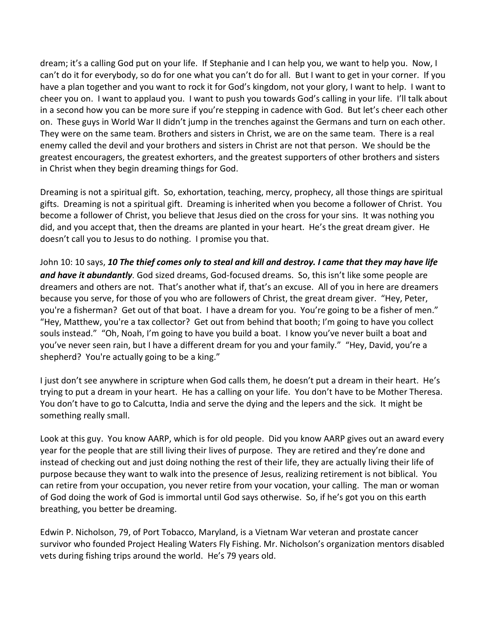dream; it's a calling God put on your life. If Stephanie and I can help you, we want to help you. Now, I can't do it for everybody, so do for one what you can't do for all. But I want to get in your corner. If you have a plan together and you want to rock it for God's kingdom, not your glory, I want to help. I want to cheer you on. I want to applaud you. I want to push you towards God's calling in your life. I'll talk about in a second how you can be more sure if you're stepping in cadence with God. But let's cheer each other on. These guys in World War II didn't jump in the trenches against the Germans and turn on each other. They were on the same team. Brothers and sisters in Christ, we are on the same team. There is a real enemy called the devil and your brothers and sisters in Christ are not that person. We should be the greatest encouragers, the greatest exhorters, and the greatest supporters of other brothers and sisters in Christ when they begin dreaming things for God.

Dreaming is not a spiritual gift. So, exhortation, teaching, mercy, prophecy, all those things are spiritual gifts. Dreaming is not a spiritual gift. Dreaming is inherited when you become a follower of Christ. You become a follower of Christ, you believe that Jesus died on the cross for your sins. It was nothing you did, and you accept that, then the dreams are planted in your heart. He's the great dream giver. He doesn't call you to Jesus to do nothing. I promise you that.

John 10: 10 says, *10 The thief comes only to steal and kill and destroy. I came that they may have life and have it abundantly*. God sized dreams, God-focused dreams. So, this isn't like some people are dreamers and others are not. That's another what if, that's an excuse. All of you in here are dreamers because you serve, for those of you who are followers of Christ, the great dream giver. "Hey, Peter, you're a fisherman? Get out of that boat. I have a dream for you. You're going to be a fisher of men." "Hey, Matthew, you're a tax collector? Get out from behind that booth; I'm going to have you collect souls instead." "Oh, Noah, I'm going to have you build a boat. I know you've never built a boat and you've never seen rain, but I have a different dream for you and your family." "Hey, David, you're a shepherd? You're actually going to be a king."

I just don't see anywhere in scripture when God calls them, he doesn't put a dream in their heart. He's trying to put a dream in your heart. He has a calling on your life. You don't have to be Mother Theresa. You don't have to go to Calcutta, India and serve the dying and the lepers and the sick. It might be something really small.

Look at this guy. You know AARP, which is for old people. Did you know AARP gives out an award every year for the people that are still living their lives of purpose. They are retired and they're done and instead of checking out and just doing nothing the rest of their life, they are actually living their life of purpose because they want to walk into the presence of Jesus, realizing retirement is not biblical. You can retire from your occupation, you never retire from your vocation, your calling. The man or woman of God doing the work of God is immortal until God says otherwise. So, if he's got you on this earth breathing, you better be dreaming.

Edwin P. Nicholson, 79, of Port Tobacco, Maryland, is a Vietnam War veteran and prostate cancer survivor who founded Project Healing Waters Fly Fishing. Mr. Nicholson's organization mentors disabled vets during fishing trips around the world. He's 79 years old.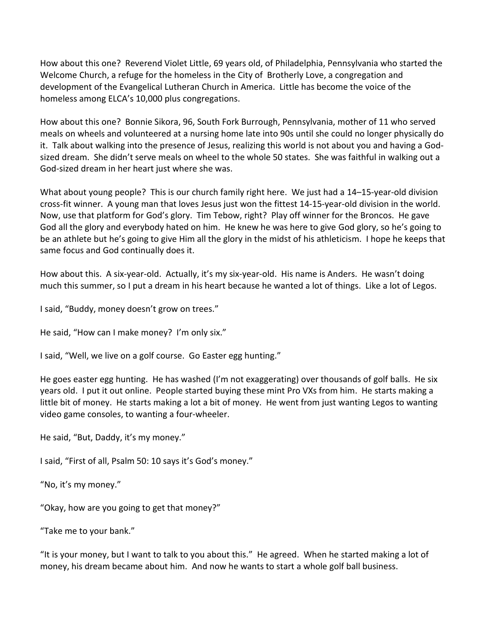How about this one? Reverend Violet Little, 69 years old, of Philadelphia, Pennsylvania who started the Welcome Church, a refuge for the homeless in the City of Brotherly Love, a congregation and development of the Evangelical Lutheran Church in America. Little has become the voice of the homeless among ELCA's 10,000 plus congregations.

How about this one? Bonnie Sikora, 96, South Fork Burrough, Pennsylvania, mother of 11 who served meals on wheels and volunteered at a nursing home late into 90s until she could no longer physically do it. Talk about walking into the presence of Jesus, realizing this world is not about you and having a Godsized dream. She didn't serve meals on wheel to the whole 50 states. She was faithful in walking out a God-sized dream in her heart just where she was.

What about young people? This is our church family right here. We just had a 14–15-year-old division cross-fit winner. A young man that loves Jesus just won the fittest 14-15-year-old division in the world. Now, use that platform for God's glory. Tim Tebow, right? Play off winner for the Broncos. He gave God all the glory and everybody hated on him. He knew he was here to give God glory, so he's going to be an athlete but he's going to give Him all the glory in the midst of his athleticism. I hope he keeps that same focus and God continually does it.

How about this. A six-year-old. Actually, it's my six-year-old. His name is Anders. He wasn't doing much this summer, so I put a dream in his heart because he wanted a lot of things. Like a lot of Legos.

I said, "Buddy, money doesn't grow on trees."

He said, "How can I make money? I'm only six."

I said, "Well, we live on a golf course. Go Easter egg hunting."

He goes easter egg hunting. He has washed (I'm not exaggerating) over thousands of golf balls. He six years old. I put it out online. People started buying these mint Pro VXs from him. He starts making a little bit of money. He starts making a lot a bit of money. He went from just wanting Legos to wanting video game consoles, to wanting a four-wheeler.

He said, "But, Daddy, it's my money."

I said, "First of all, Psalm 50: 10 says it's God's money."

"No, it's my money."

"Okay, how are you going to get that money?"

"Take me to your bank."

"It is your money, but I want to talk to you about this." He agreed. When he started making a lot of money, his dream became about him. And now he wants to start a whole golf ball business.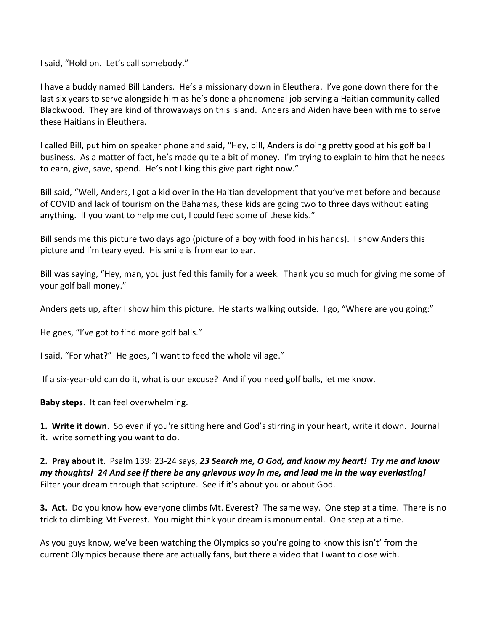I said, "Hold on. Let's call somebody."

I have a buddy named Bill Landers. He's a missionary down in Eleuthera. I've gone down there for the last six years to serve alongside him as he's done a phenomenal job serving a Haitian community called Blackwood. They are kind of throwaways on this island. Anders and Aiden have been with me to serve these Haitians in Eleuthera.

I called Bill, put him on speaker phone and said, "Hey, bill, Anders is doing pretty good at his golf ball business. As a matter of fact, he's made quite a bit of money. I'm trying to explain to him that he needs to earn, give, save, spend. He's not liking this give part right now."

Bill said, "Well, Anders, I got a kid over in the Haitian development that you've met before and because of COVID and lack of tourism on the Bahamas, these kids are going two to three days without eating anything. If you want to help me out, I could feed some of these kids."

Bill sends me this picture two days ago (picture of a boy with food in his hands). I show Anders this picture and I'm teary eyed. His smile is from ear to ear.

Bill was saying, "Hey, man, you just fed this family for a week. Thank you so much for giving me some of your golf ball money."

Anders gets up, after I show him this picture. He starts walking outside. I go, "Where are you going:"

He goes, "I've got to find more golf balls."

I said, "For what?" He goes, "I want to feed the whole village."

If a six-year-old can do it, what is our excuse? And if you need golf balls, let me know.

**Baby steps**. It can feel overwhelming.

**1. Write it down**. So even if you're sitting here and God's stirring in your heart, write it down. Journal it. write something you want to do.

**2. Pray about it**. Psalm 139: 23-24 says, *23 Search me, O God, and know my heart! Try me and know my thoughts! 24 And see if there be any grievous way in me, and lead me in the way everlasting!* Filter your dream through that scripture. See if it's about you or about God.

**3. Act.** Do you know how everyone climbs Mt. Everest? The same way. One step at a time. There is no trick to climbing Mt Everest. You might think your dream is monumental. One step at a time.

As you guys know, we've been watching the Olympics so you're going to know this isn't' from the current Olympics because there are actually fans, but there a video that I want to close with.